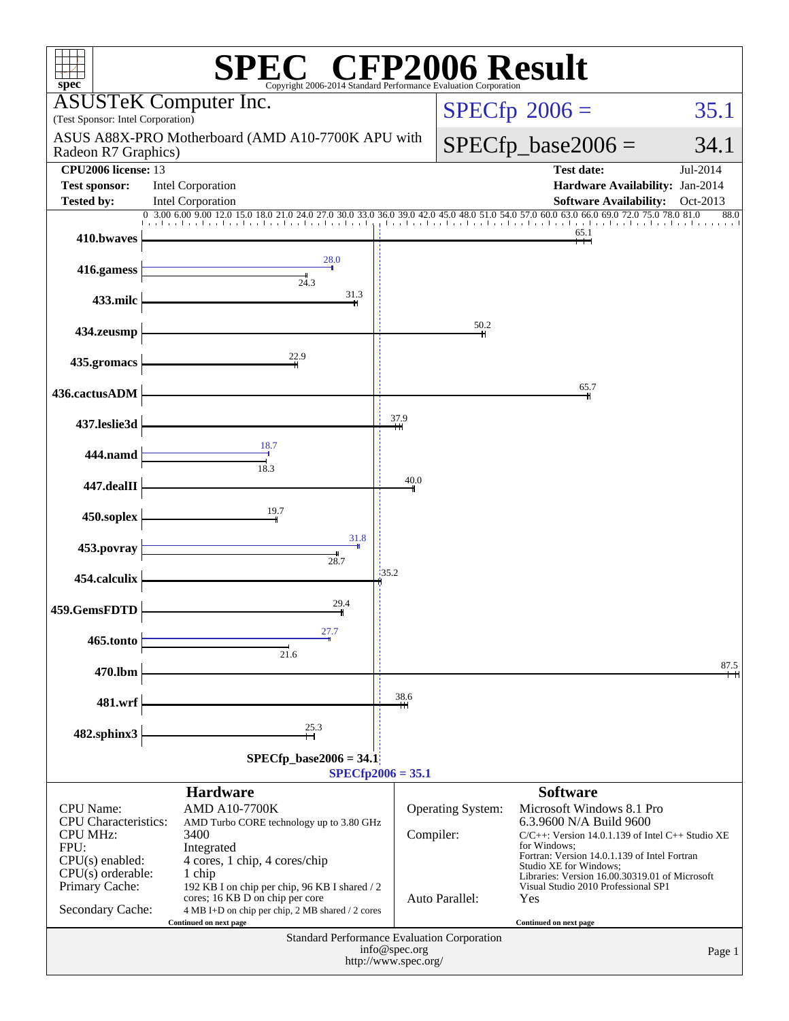| spec <sup>®</sup>                                                                                                                                            | $\mathbb{C}^{\scriptscriptstyle \otimes}$ CFP2006 Result<br>Copyright 2006-2014 Standard Performance Ev                                                                                                                                                                   |                  |                                     |                                                                                                                                                                                                                                                                                                       |                   |  |  |  |
|--------------------------------------------------------------------------------------------------------------------------------------------------------------|---------------------------------------------------------------------------------------------------------------------------------------------------------------------------------------------------------------------------------------------------------------------------|------------------|-------------------------------------|-------------------------------------------------------------------------------------------------------------------------------------------------------------------------------------------------------------------------------------------------------------------------------------------------------|-------------------|--|--|--|
| (Test Sponsor: Intel Corporation)                                                                                                                            | <b>ASUSTeK Computer Inc.</b>                                                                                                                                                                                                                                              |                  |                                     | $SPECfp^{\circ}2006 =$                                                                                                                                                                                                                                                                                | 35.1              |  |  |  |
| Radeon R7 Graphics)                                                                                                                                          | ASUS A88X-PRO Motherboard (AMD A10-7700K APU with                                                                                                                                                                                                                         |                  |                                     | $SPECfp\_base2006 =$                                                                                                                                                                                                                                                                                  | 34.1              |  |  |  |
| CPU2006 license: 13                                                                                                                                          |                                                                                                                                                                                                                                                                           |                  |                                     | <b>Test date:</b>                                                                                                                                                                                                                                                                                     | Jul-2014          |  |  |  |
| <b>Test sponsor:</b><br><b>Tested by:</b>                                                                                                                    | <b>Intel Corporation</b><br>Intel Corporation                                                                                                                                                                                                                             |                  |                                     | Hardware Availability: Jan-2014<br><b>Software Availability:</b>                                                                                                                                                                                                                                      | Oct-2013          |  |  |  |
|                                                                                                                                                              | 0 3.00 6.00 9.00 12.0 15.0 18.0 21.0 24.0 27.0 30.0 33.0 36.0 39.0 42.0 45.0                                                                                                                                                                                              | <b>Landardia</b> |                                     | 54.0 57.0 60.0 63.0 66.0 69.0 72.0 75.0                                                                                                                                                                                                                                                               | 78.0 81.0<br>88.0 |  |  |  |
| 410.bwaves                                                                                                                                                   |                                                                                                                                                                                                                                                                           |                  |                                     | 65.1                                                                                                                                                                                                                                                                                                  |                   |  |  |  |
| 416.gamess                                                                                                                                                   | 28.0<br>24.3                                                                                                                                                                                                                                                              |                  |                                     |                                                                                                                                                                                                                                                                                                       |                   |  |  |  |
| 433.milc                                                                                                                                                     | 31.3                                                                                                                                                                                                                                                                      |                  |                                     |                                                                                                                                                                                                                                                                                                       |                   |  |  |  |
| 434.zeusmp                                                                                                                                                   |                                                                                                                                                                                                                                                                           |                  | 50.2                                |                                                                                                                                                                                                                                                                                                       |                   |  |  |  |
| 435.gromacs                                                                                                                                                  | 22.9                                                                                                                                                                                                                                                                      |                  |                                     |                                                                                                                                                                                                                                                                                                       |                   |  |  |  |
| 436.cactusADM                                                                                                                                                |                                                                                                                                                                                                                                                                           |                  |                                     | 65.7                                                                                                                                                                                                                                                                                                  |                   |  |  |  |
| 437.leslie3d                                                                                                                                                 |                                                                                                                                                                                                                                                                           | 37.9             |                                     |                                                                                                                                                                                                                                                                                                       |                   |  |  |  |
| 444.namd                                                                                                                                                     | 18.7<br>18.3                                                                                                                                                                                                                                                              |                  |                                     |                                                                                                                                                                                                                                                                                                       |                   |  |  |  |
| 447.dealII                                                                                                                                                   |                                                                                                                                                                                                                                                                           | 40.0             |                                     |                                                                                                                                                                                                                                                                                                       |                   |  |  |  |
| 450.soplex                                                                                                                                                   | 19.7                                                                                                                                                                                                                                                                      |                  |                                     |                                                                                                                                                                                                                                                                                                       |                   |  |  |  |
| 453.povray                                                                                                                                                   | 31.8                                                                                                                                                                                                                                                                      |                  |                                     |                                                                                                                                                                                                                                                                                                       |                   |  |  |  |
| 454.calculix                                                                                                                                                 | 28.7                                                                                                                                                                                                                                                                      | 135.2            |                                     |                                                                                                                                                                                                                                                                                                       |                   |  |  |  |
| 459.GemsFDTD                                                                                                                                                 | 29.4                                                                                                                                                                                                                                                                      |                  |                                     |                                                                                                                                                                                                                                                                                                       |                   |  |  |  |
| 465.tonto                                                                                                                                                    | 27.7<br>21.6                                                                                                                                                                                                                                                              |                  |                                     |                                                                                                                                                                                                                                                                                                       |                   |  |  |  |
| 470.lbm                                                                                                                                                      |                                                                                                                                                                                                                                                                           |                  |                                     |                                                                                                                                                                                                                                                                                                       | 87.5              |  |  |  |
| 481.wrf                                                                                                                                                      |                                                                                                                                                                                                                                                                           | 38.6             |                                     |                                                                                                                                                                                                                                                                                                       |                   |  |  |  |
| 482.sphinx3                                                                                                                                                  | $^{25.3}_{+1}$                                                                                                                                                                                                                                                            |                  |                                     |                                                                                                                                                                                                                                                                                                       |                   |  |  |  |
| $SPECfp\_base2006 = 34.1$                                                                                                                                    |                                                                                                                                                                                                                                                                           |                  |                                     |                                                                                                                                                                                                                                                                                                       |                   |  |  |  |
| $SPECfp2006 = 35.1$<br><b>Software</b><br><b>Hardware</b>                                                                                                    |                                                                                                                                                                                                                                                                           |                  |                                     |                                                                                                                                                                                                                                                                                                       |                   |  |  |  |
| <b>CPU</b> Name:<br><b>CPU</b> Characteristics:<br><b>CPU MHz:</b><br>FPU:<br>$CPU(s)$ enabled:<br>$CPU(s)$ orderable:<br>Primary Cache:<br>Secondary Cache: | <b>AMD A10-7700K</b><br>AMD Turbo CORE technology up to 3.80 GHz<br>3400<br>Integrated<br>4 cores, 1 chip, 4 cores/chip<br>1 chip<br>192 KB I on chip per chip, 96 KB I shared / 2<br>cores; 16 KB D on chip per core<br>4 MB I+D on chip per chip, 2 MB shared / 2 cores | Compiler:        | Operating System:<br>Auto Parallel: | Microsoft Windows 8.1 Pro<br>6.3.9600 N/A Build 9600<br>$C/C++$ : Version 14.0.1.139 of Intel C++ Studio XE<br>for Windows:<br>Fortran: Version 14.0.1.139 of Intel Fortran<br>Studio XE for Windows;<br>Libraries: Version 16.00.30319.01 of Microsoft<br>Visual Studio 2010 Professional SP1<br>Yes |                   |  |  |  |
|                                                                                                                                                              | Continued on next page<br><b>Standard Performance Evaluation Corporation</b><br>info@spec.org<br>http://www.spec.org/                                                                                                                                                     |                  | Continued on next page              | Page 1                                                                                                                                                                                                                                                                                                |                   |  |  |  |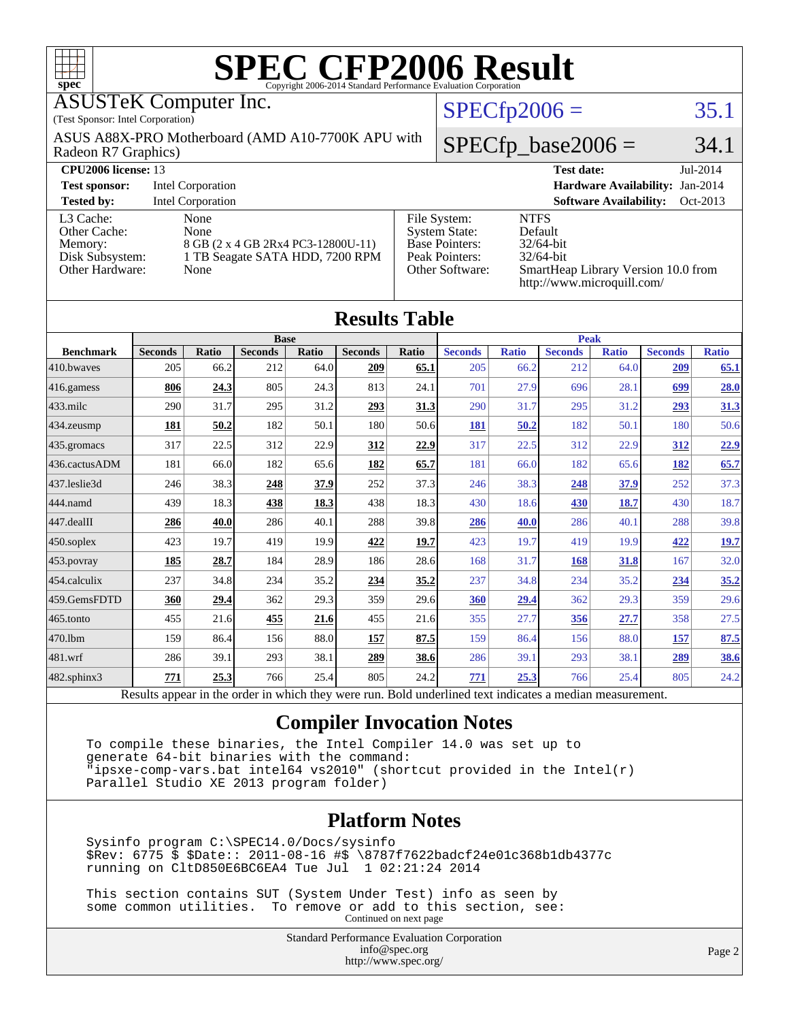| spec <sup>®</sup>                                                                                                                                                                                                                                                                                                                                                                                               |                                                      |                          |                               |       |                      |       |                      |                   |                               |                               |                |              |
|-----------------------------------------------------------------------------------------------------------------------------------------------------------------------------------------------------------------------------------------------------------------------------------------------------------------------------------------------------------------------------------------------------------------|------------------------------------------------------|--------------------------|-------------------------------|-------|----------------------|-------|----------------------|-------------------|-------------------------------|-------------------------------|----------------|--------------|
| <b>ASUSTeK Computer Inc.</b><br>$SPECfp2006 =$                                                                                                                                                                                                                                                                                                                                                                  |                                                      |                          |                               |       |                      |       |                      |                   |                               | 35.1                          |                |              |
| (Test Sponsor: Intel Corporation)                                                                                                                                                                                                                                                                                                                                                                               |                                                      |                          |                               |       |                      |       |                      |                   |                               |                               |                |              |
| ASUS A88X-PRO Motherboard (AMD A10-7700K APU with<br>Radeon R7 Graphics)                                                                                                                                                                                                                                                                                                                                        |                                                      |                          |                               |       |                      |       | $SPECfp\_base2006 =$ |                   |                               |                               |                | 34.1         |
| <b>CPU2006</b> license: 13                                                                                                                                                                                                                                                                                                                                                                                      |                                                      |                          |                               |       |                      |       |                      | <b>Test date:</b> |                               |                               | Jul-2014       |              |
| <b>Test sponsor:</b>                                                                                                                                                                                                                                                                                                                                                                                            | Hardware Availability: Jan-2014<br>Intel Corporation |                          |                               |       |                      |       |                      |                   |                               |                               |                |              |
| <b>Tested by:</b>                                                                                                                                                                                                                                                                                                                                                                                               |                                                      | <b>Intel Corporation</b> |                               |       |                      |       |                      |                   |                               | <b>Software Availability:</b> |                | Oct-2013     |
| <b>NTFS</b><br>L <sub>3</sub> Cache:<br>None<br>File System:<br>Other Cache:<br>None<br><b>System State:</b><br>Default<br>Base Pointers:<br>32/64-bit<br>Memory:<br>8 GB (2 x 4 GB 2Rx4 PC3-12800U-11)<br>Disk Subsystem:<br>Peak Pointers:<br>32/64-bit<br>1 TB Seagate SATA HDD, 7200 RPM<br>Other Hardware:<br>Other Software:<br>None<br>SmartHeap Library Version 10.0 from<br>http://www.microquill.com/ |                                                      |                          |                               |       |                      |       |                      |                   |                               |                               |                |              |
|                                                                                                                                                                                                                                                                                                                                                                                                                 |                                                      |                          |                               |       | <b>Results Table</b> |       |                      |                   |                               |                               |                |              |
| <b>Benchmark</b>                                                                                                                                                                                                                                                                                                                                                                                                | <b>Seconds</b>                                       | <b>Ratio</b>             | <b>Base</b><br><b>Seconds</b> | Ratio | <b>Seconds</b>       | Ratio | <b>Seconds</b>       | Ratio             | <b>Peak</b><br><b>Seconds</b> | Ratio                         | <b>Seconds</b> | <b>Ratio</b> |
| 410.bwayes                                                                                                                                                                                                                                                                                                                                                                                                      | 205                                                  | 66.2                     | 212                           | 64.0  | 209                  | 65.1  | 205                  | 66.2              | 212                           | 64.0                          | 209            | 65.1         |
| 416.gamess                                                                                                                                                                                                                                                                                                                                                                                                      | 806                                                  | 24.3                     | 805                           | 24.3  | 813                  | 24.1  | 701                  | 27.9              | 696                           | 28.1                          | 699            | 28.0         |
| $433$ .milc                                                                                                                                                                                                                                                                                                                                                                                                     | 290                                                  | 31.7                     | 295                           | 31.2  | 293                  | 31.3  | 290                  | 31.7              | 295                           | 31.2                          | 293            | 31.3         |
| 434.zeusmp                                                                                                                                                                                                                                                                                                                                                                                                      | 181                                                  | 50.2                     | 182                           | 50.1  | 180                  | 50.6  | <b>181</b>           | 50.2              | 182                           | 50.1                          | 180            | 50.6         |
| 435.gromacs                                                                                                                                                                                                                                                                                                                                                                                                     | 317                                                  | 22.5                     | 312                           | 22.9  | 312                  | 22.9  | 317                  | 22.5              | 312                           | 22.9                          | 312            | 22.9         |
| 436.cactusADM                                                                                                                                                                                                                                                                                                                                                                                                   | 181                                                  | 66.0                     | 182                           | 65.6  | 182                  | 65.7  | 181                  | 66.0              | 182                           | 65.6                          | 182            | 65.7         |
| 437.leslie3d                                                                                                                                                                                                                                                                                                                                                                                                    | 246                                                  | 38.3                     | 248                           | 37.9  | 252                  | 37.3  | 246                  | 38.3              | 248                           | 37.9                          | 252            | 37.3         |
| 444.namd                                                                                                                                                                                                                                                                                                                                                                                                        | 439                                                  | 18.3                     | 438                           | 18.3  | 438                  | 18.3  | 430                  | 18.6              | <b>430</b>                    | 18.7                          | 430            | 18.7         |
| 447.dealII                                                                                                                                                                                                                                                                                                                                                                                                      | 286                                                  | 40.0                     | 286                           | 40.1  | 288                  | 39.8  | 286                  | 40.0              | 286                           | 40.1                          | 288            | 39.8         |
| 450.soplex                                                                                                                                                                                                                                                                                                                                                                                                      | 423                                                  | 19.7                     | 419                           | 19.9  | 422                  | 19.7  | 423                  | 19.7              | 419                           | 19.9                          | 422            | 19.7         |
| 453.povray                                                                                                                                                                                                                                                                                                                                                                                                      | 185                                                  | 28.7                     | 184                           | 28.9  | 186                  | 28.6  | 168                  | 31.7              | 168                           | 31.8                          | 167            | 32.0         |
| 454.calculix                                                                                                                                                                                                                                                                                                                                                                                                    | 237                                                  | 34.8                     | 234                           | 35.2  | 234                  | 35.2  | 237                  | 34.8              | 234                           | 35.2                          | 234            | 35.2         |
| 459.GemsFDTD                                                                                                                                                                                                                                                                                                                                                                                                    | 360                                                  | 29.4                     | 362                           | 29.3  | 359                  | 29.6  | 360                  | 29.4              | 362                           | 29.3                          | 359            | 29.6         |
| 465.tonto                                                                                                                                                                                                                                                                                                                                                                                                       | 455                                                  | 21.6                     | 455                           | 21.6  | 455                  | 21.6  | 355                  | 27.7              | 356                           | 27.7                          | 358            | 27.5         |
| 470.1bm                                                                                                                                                                                                                                                                                                                                                                                                         | 159                                                  | 86.4                     | 156                           | 88.0  | 157                  | 87.5  | 159                  | 86.4              | 156                           | 88.0                          | 157            | 87.5         |

[482.sphinx3](http://www.spec.org/auto/cpu2006/Docs/482.sphinx3.html) **[771](http://www.spec.org/auto/cpu2006/Docs/result-fields.html#Median) [25.3](http://www.spec.org/auto/cpu2006/Docs/result-fields.html#Median)** 766 25.4 805 24.2 **[771](http://www.spec.org/auto/cpu2006/Docs/result-fields.html#Median) [25.3](http://www.spec.org/auto/cpu2006/Docs/result-fields.html#Median)** 766 25.4 805 24.2 Results appear in the [order in which they were run.](http://www.spec.org/auto/cpu2006/Docs/result-fields.html#RunOrder) Bold underlined text [indicates a median measurement.](http://www.spec.org/auto/cpu2006/Docs/result-fields.html#Median)

[481.wrf](http://www.spec.org/auto/cpu2006/Docs/481.wrf.html) 286 39.1 293 38.1 **[289](http://www.spec.org/auto/cpu2006/Docs/result-fields.html#Median) [38.6](http://www.spec.org/auto/cpu2006/Docs/result-fields.html#Median)** 286 39.1 293 38.1 **[289](http://www.spec.org/auto/cpu2006/Docs/result-fields.html#Median) [38.6](http://www.spec.org/auto/cpu2006/Docs/result-fields.html#Median)**

#### **[Compiler Invocation Notes](http://www.spec.org/auto/cpu2006/Docs/result-fields.html#CompilerInvocationNotes)**

 To compile these binaries, the Intel Compiler 14.0 was set up to generate 64-bit binaries with the command: "ipsxe-comp-vars.bat intel64 vs2010" (shortcut provided in the Intel(r) Parallel Studio XE 2013 program folder)

#### **[Platform Notes](http://www.spec.org/auto/cpu2006/Docs/result-fields.html#PlatformNotes)**

 Sysinfo program C:\SPEC14.0/Docs/sysinfo \$Rev: 6775 \$ \$Date:: 2011-08-16 #\$ \8787f7622badcf24e01c368b1db4377c running on CltD850E6BC6EA4 Tue Jul 1 02:21:24 2014

 This section contains SUT (System Under Test) info as seen by some common utilities. To remove or add to this section, see: Continued on next page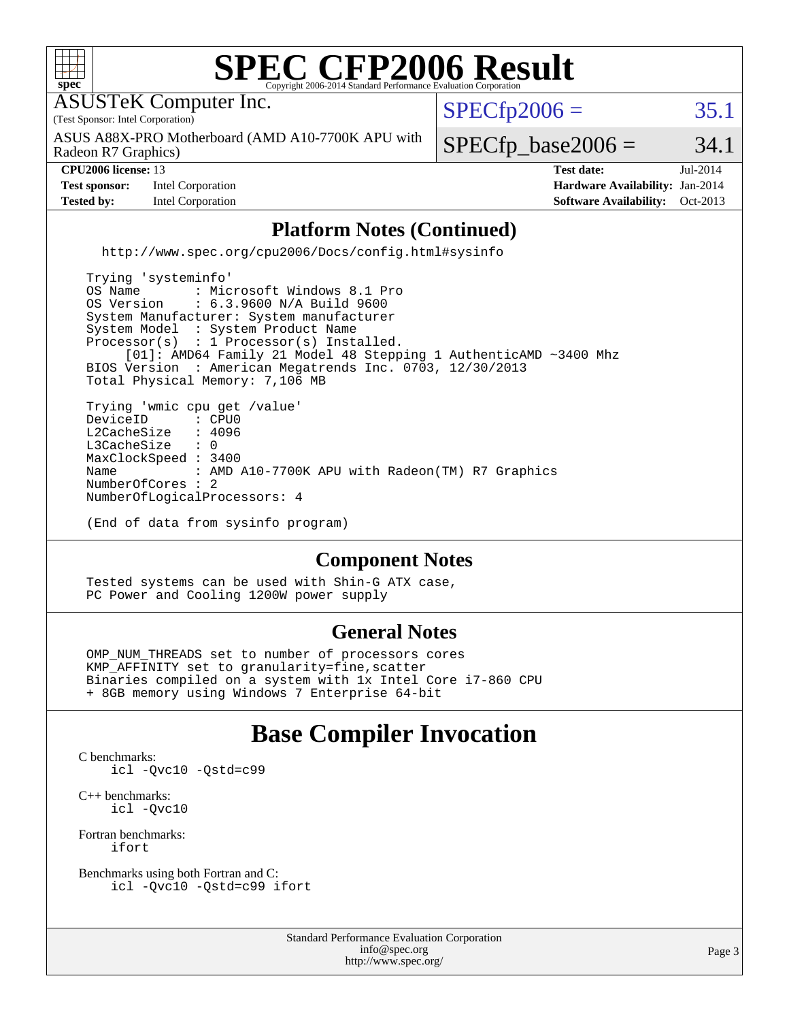

(End of data from sysinfo program)

#### **[Component Notes](http://www.spec.org/auto/cpu2006/Docs/result-fields.html#ComponentNotes)**

 Tested systems can be used with Shin-G ATX case, PC Power and Cooling 1200W power supply

#### **[General Notes](http://www.spec.org/auto/cpu2006/Docs/result-fields.html#GeneralNotes)**

 OMP\_NUM\_THREADS set to number of processors cores KMP\_AFFINITY set to granularity=fine,scatter Binaries compiled on a system with 1x Intel Core i7-860 CPU + 8GB memory using Windows 7 Enterprise 64-bit

### **[Base Compiler Invocation](http://www.spec.org/auto/cpu2006/Docs/result-fields.html#BaseCompilerInvocation)**

[C benchmarks](http://www.spec.org/auto/cpu2006/Docs/result-fields.html#Cbenchmarks): [icl -Qvc10](http://www.spec.org/cpu2006/results/res2014q3/cpu2006-20140715-30425.flags.html#user_CCbase_intel_icc_vc10_9607f3ecbcdf68042245f068e51b40c1) [-Qstd=c99](http://www.spec.org/cpu2006/results/res2014q3/cpu2006-20140715-30425.flags.html#user_CCbase_intel_compiler_c99_mode_1a3d110e3041b3ad4466830521bdad2a)

[C++ benchmarks:](http://www.spec.org/auto/cpu2006/Docs/result-fields.html#CXXbenchmarks) [icl -Qvc10](http://www.spec.org/cpu2006/results/res2014q3/cpu2006-20140715-30425.flags.html#user_CXXbase_intel_icc_vc10_9607f3ecbcdf68042245f068e51b40c1)

[Fortran benchmarks](http://www.spec.org/auto/cpu2006/Docs/result-fields.html#Fortranbenchmarks): [ifort](http://www.spec.org/cpu2006/results/res2014q3/cpu2006-20140715-30425.flags.html#user_FCbase_intel_ifort_8a5e5e06b19a251bdeaf8fdab5d62f20)

[Benchmarks using both Fortran and C](http://www.spec.org/auto/cpu2006/Docs/result-fields.html#BenchmarksusingbothFortranandC): [icl -Qvc10](http://www.spec.org/cpu2006/results/res2014q3/cpu2006-20140715-30425.flags.html#user_CC_FCbase_intel_icc_vc10_9607f3ecbcdf68042245f068e51b40c1) [-Qstd=c99](http://www.spec.org/cpu2006/results/res2014q3/cpu2006-20140715-30425.flags.html#user_CC_FCbase_intel_compiler_c99_mode_1a3d110e3041b3ad4466830521bdad2a) [ifort](http://www.spec.org/cpu2006/results/res2014q3/cpu2006-20140715-30425.flags.html#user_CC_FCbase_intel_ifort_8a5e5e06b19a251bdeaf8fdab5d62f20)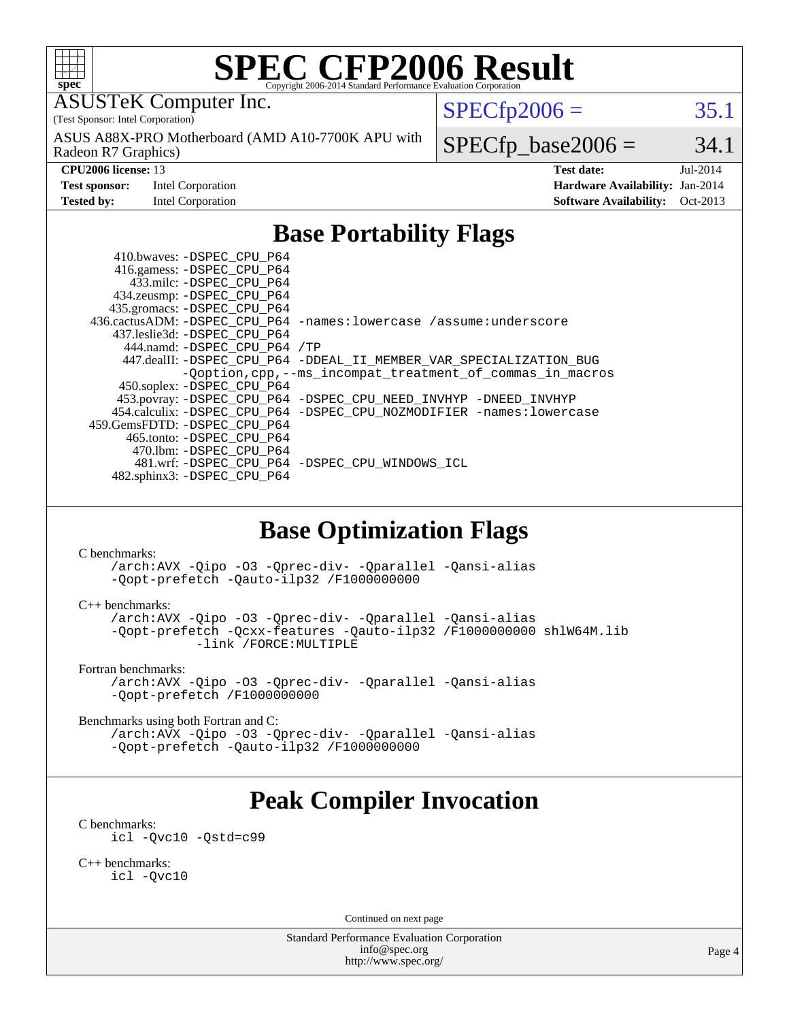

# **[SPEC CFP2006 Result](http://www.spec.org/auto/cpu2006/Docs/result-fields.html#SPECCFP2006Result)**

ASUSTeK Computer Inc.

(Test Sponsor: Intel Corporation)

Radeon R7 Graphics) ASUS A88X-PRO Motherboard (AMD A10-7700K APU with  $SPECTp2006 = 35.1$ 

**[Test sponsor:](http://www.spec.org/auto/cpu2006/Docs/result-fields.html#Testsponsor)** Intel Corporation **[Hardware Availability:](http://www.spec.org/auto/cpu2006/Docs/result-fields.html#HardwareAvailability)** Jan-2014

 $SPECTp\_base2006 = 34.1$ 

**[CPU2006 license:](http://www.spec.org/auto/cpu2006/Docs/result-fields.html#CPU2006license)** 13 **[Test date:](http://www.spec.org/auto/cpu2006/Docs/result-fields.html#Testdate)** Jul-2014 **[Tested by:](http://www.spec.org/auto/cpu2006/Docs/result-fields.html#Testedby)** Intel Corporation **[Software Availability:](http://www.spec.org/auto/cpu2006/Docs/result-fields.html#SoftwareAvailability)** Oct-2013

## **[Base Portability Flags](http://www.spec.org/auto/cpu2006/Docs/result-fields.html#BasePortabilityFlags)**

 410.bwaves: [-DSPEC\\_CPU\\_P64](http://www.spec.org/cpu2006/results/res2014q3/cpu2006-20140715-30425.flags.html#suite_basePORTABILITY410_bwaves_DSPEC_CPU_P64) 416.gamess: [-DSPEC\\_CPU\\_P64](http://www.spec.org/cpu2006/results/res2014q3/cpu2006-20140715-30425.flags.html#suite_basePORTABILITY416_gamess_DSPEC_CPU_P64) 433.milc: [-DSPEC\\_CPU\\_P64](http://www.spec.org/cpu2006/results/res2014q3/cpu2006-20140715-30425.flags.html#suite_basePORTABILITY433_milc_DSPEC_CPU_P64) 434.zeusmp: [-DSPEC\\_CPU\\_P64](http://www.spec.org/cpu2006/results/res2014q3/cpu2006-20140715-30425.flags.html#suite_basePORTABILITY434_zeusmp_DSPEC_CPU_P64) 435.gromacs: [-DSPEC\\_CPU\\_P64](http://www.spec.org/cpu2006/results/res2014q3/cpu2006-20140715-30425.flags.html#suite_basePORTABILITY435_gromacs_DSPEC_CPU_P64) 436.cactusADM: [-DSPEC\\_CPU\\_P64](http://www.spec.org/cpu2006/results/res2014q3/cpu2006-20140715-30425.flags.html#suite_basePORTABILITY436_cactusADM_DSPEC_CPU_P64) [-names:lowercase](http://www.spec.org/cpu2006/results/res2014q3/cpu2006-20140715-30425.flags.html#user_baseFPORTABILITY436_cactusADM_lowercase_routine_name_fa09b8c93d90fdc7bf4c1a91694c3a84) [/assume:underscore](http://www.spec.org/cpu2006/results/res2014q3/cpu2006-20140715-30425.flags.html#user_baseFPORTABILITY436_cactusADM_add-underscore_to_routine_name_0c7c658d9e5eb8b86e282975775768a4) 437.leslie3d: [-DSPEC\\_CPU\\_P64](http://www.spec.org/cpu2006/results/res2014q3/cpu2006-20140715-30425.flags.html#suite_basePORTABILITY437_leslie3d_DSPEC_CPU_P64) 444.namd: [-DSPEC\\_CPU\\_P64](http://www.spec.org/cpu2006/results/res2014q3/cpu2006-20140715-30425.flags.html#suite_basePORTABILITY444_namd_DSPEC_CPU_P64) [/TP](http://www.spec.org/cpu2006/results/res2014q3/cpu2006-20140715-30425.flags.html#user_baseCXXPORTABILITY444_namd_assume_cplusplus_sources_73f79b6e94f79d415caf1b69b30a60d8) 447.dealII: [-DSPEC\\_CPU\\_P64](http://www.spec.org/cpu2006/results/res2014q3/cpu2006-20140715-30425.flags.html#suite_basePORTABILITY447_dealII_DSPEC_CPU_P64) [-DDEAL\\_II\\_MEMBER\\_VAR\\_SPECIALIZATION\\_BUG](http://www.spec.org/cpu2006/results/res2014q3/cpu2006-20140715-30425.flags.html#b447.dealII_baseCXXPORTABILITY_DDEAL_II_MEMBER_VAR_SPECIALIZATION_BUG) [-Qoption,cpp,--ms\\_incompat\\_treatment\\_of\\_commas\\_in\\_macros](http://www.spec.org/cpu2006/results/res2014q3/cpu2006-20140715-30425.flags.html#user_baseCXXPORTABILITY447_dealII_workaround_for_incompat_commas_in_macros_371e7208d1728f07541b35505d65f89c) 450.soplex: [-DSPEC\\_CPU\\_P64](http://www.spec.org/cpu2006/results/res2014q3/cpu2006-20140715-30425.flags.html#suite_basePORTABILITY450_soplex_DSPEC_CPU_P64) 453.povray: [-DSPEC\\_CPU\\_P64](http://www.spec.org/cpu2006/results/res2014q3/cpu2006-20140715-30425.flags.html#suite_basePORTABILITY453_povray_DSPEC_CPU_P64) [-DSPEC\\_CPU\\_NEED\\_INVHYP](http://www.spec.org/cpu2006/results/res2014q3/cpu2006-20140715-30425.flags.html#b453.povray_baseCXXPORTABILITY_DSPEC_CPU_NEED_INVHYP) [-DNEED\\_INVHYP](http://www.spec.org/cpu2006/results/res2014q3/cpu2006-20140715-30425.flags.html#b453.povray_baseCXXPORTABILITY_DNEED_INVHYP) 454.calculix: [-DSPEC\\_CPU\\_P64](http://www.spec.org/cpu2006/results/res2014q3/cpu2006-20140715-30425.flags.html#suite_basePORTABILITY454_calculix_DSPEC_CPU_P64) [-DSPEC\\_CPU\\_NOZMODIFIER](http://www.spec.org/cpu2006/results/res2014q3/cpu2006-20140715-30425.flags.html#b454.calculix_baseCPORTABILITY_DSPEC_CPU_NOZMODIFIER) [-names:lowercase](http://www.spec.org/cpu2006/results/res2014q3/cpu2006-20140715-30425.flags.html#user_baseFPORTABILITY454_calculix_lowercase_routine_name_fa09b8c93d90fdc7bf4c1a91694c3a84) 459.GemsFDTD: [-DSPEC\\_CPU\\_P64](http://www.spec.org/cpu2006/results/res2014q3/cpu2006-20140715-30425.flags.html#suite_basePORTABILITY459_GemsFDTD_DSPEC_CPU_P64) 465.tonto: [-DSPEC\\_CPU\\_P64](http://www.spec.org/cpu2006/results/res2014q3/cpu2006-20140715-30425.flags.html#suite_basePORTABILITY465_tonto_DSPEC_CPU_P64) 470.lbm: [-DSPEC\\_CPU\\_P64](http://www.spec.org/cpu2006/results/res2014q3/cpu2006-20140715-30425.flags.html#suite_basePORTABILITY470_lbm_DSPEC_CPU_P64) 481.wrf: [-DSPEC\\_CPU\\_P64](http://www.spec.org/cpu2006/results/res2014q3/cpu2006-20140715-30425.flags.html#suite_basePORTABILITY481_wrf_DSPEC_CPU_P64) [-DSPEC\\_CPU\\_WINDOWS\\_ICL](http://www.spec.org/cpu2006/results/res2014q3/cpu2006-20140715-30425.flags.html#b481.wrf_baseCPORTABILITY_DSPEC_CPU_WINDOWS_ICL) 482.sphinx3: [-DSPEC\\_CPU\\_P64](http://www.spec.org/cpu2006/results/res2014q3/cpu2006-20140715-30425.flags.html#suite_basePORTABILITY482_sphinx3_DSPEC_CPU_P64)

### **[Base Optimization Flags](http://www.spec.org/auto/cpu2006/Docs/result-fields.html#BaseOptimizationFlags)**

[C benchmarks](http://www.spec.org/auto/cpu2006/Docs/result-fields.html#Cbenchmarks):

[/arch:AVX](http://www.spec.org/cpu2006/results/res2014q3/cpu2006-20140715-30425.flags.html#user_CCbase_f-archAVX_e8ab52e15dc7c67e0682fc680b79ed94) [-Qipo](http://www.spec.org/cpu2006/results/res2014q3/cpu2006-20140715-30425.flags.html#user_CCbase_f-Qipo) [-O3](http://www.spec.org/cpu2006/results/res2014q3/cpu2006-20140715-30425.flags.html#user_CCbase_f-O3) [-Qprec-div-](http://www.spec.org/cpu2006/results/res2014q3/cpu2006-20140715-30425.flags.html#user_CCbase_f-Qprec-div-) [-Qparallel](http://www.spec.org/cpu2006/results/res2014q3/cpu2006-20140715-30425.flags.html#user_CCbase_f-Qparallel) [-Qansi-alias](http://www.spec.org/cpu2006/results/res2014q3/cpu2006-20140715-30425.flags.html#user_CCbase_f-Qansi-alias) [-Qopt-prefetch](http://www.spec.org/cpu2006/results/res2014q3/cpu2006-20140715-30425.flags.html#user_CCbase_f-Qprefetch_37c211608666b9dff9380561f602f0a8) [-Qauto-ilp32](http://www.spec.org/cpu2006/results/res2014q3/cpu2006-20140715-30425.flags.html#user_CCbase_f-Qauto-ilp32) [/F1000000000](http://www.spec.org/cpu2006/results/res2014q3/cpu2006-20140715-30425.flags.html#user_CCbase_set_stack_space_25d7749c1988d91b7f93afbc0ec53727)

[C++ benchmarks:](http://www.spec.org/auto/cpu2006/Docs/result-fields.html#CXXbenchmarks)

[/arch:AVX](http://www.spec.org/cpu2006/results/res2014q3/cpu2006-20140715-30425.flags.html#user_CXXbase_f-archAVX_e8ab52e15dc7c67e0682fc680b79ed94) [-Qipo](http://www.spec.org/cpu2006/results/res2014q3/cpu2006-20140715-30425.flags.html#user_CXXbase_f-Qipo) [-O3](http://www.spec.org/cpu2006/results/res2014q3/cpu2006-20140715-30425.flags.html#user_CXXbase_f-O3) [-Qprec-div-](http://www.spec.org/cpu2006/results/res2014q3/cpu2006-20140715-30425.flags.html#user_CXXbase_f-Qprec-div-) [-Qparallel](http://www.spec.org/cpu2006/results/res2014q3/cpu2006-20140715-30425.flags.html#user_CXXbase_f-Qparallel) [-Qansi-alias](http://www.spec.org/cpu2006/results/res2014q3/cpu2006-20140715-30425.flags.html#user_CXXbase_f-Qansi-alias) [-Qopt-prefetch](http://www.spec.org/cpu2006/results/res2014q3/cpu2006-20140715-30425.flags.html#user_CXXbase_f-Qprefetch_37c211608666b9dff9380561f602f0a8) [-Qcxx-features](http://www.spec.org/cpu2006/results/res2014q3/cpu2006-20140715-30425.flags.html#user_CXXbase_f-Qcxx_features_dbf36c8a6dba956e22f1645e4dcd4d98) [-Qauto-ilp32](http://www.spec.org/cpu2006/results/res2014q3/cpu2006-20140715-30425.flags.html#user_CXXbase_f-Qauto-ilp32) [/F1000000000](http://www.spec.org/cpu2006/results/res2014q3/cpu2006-20140715-30425.flags.html#user_CXXbase_set_stack_space_25d7749c1988d91b7f93afbc0ec53727) [shlW64M.lib](http://www.spec.org/cpu2006/results/res2014q3/cpu2006-20140715-30425.flags.html#user_CXXbase_SmartHeap64_c4f7f76711bdf8c0633a5c1edf6e5396)  [-link /FORCE:MULTIPLE](http://www.spec.org/cpu2006/results/res2014q3/cpu2006-20140715-30425.flags.html#user_CXXbase_link_force_multiple2_070fe330869edf77077b841074b8b0b6)

[Fortran benchmarks](http://www.spec.org/auto/cpu2006/Docs/result-fields.html#Fortranbenchmarks):

[/arch:AVX](http://www.spec.org/cpu2006/results/res2014q3/cpu2006-20140715-30425.flags.html#user_FCbase_f-archAVX_e8ab52e15dc7c67e0682fc680b79ed94) [-Qipo](http://www.spec.org/cpu2006/results/res2014q3/cpu2006-20140715-30425.flags.html#user_FCbase_f-Qipo) [-O3](http://www.spec.org/cpu2006/results/res2014q3/cpu2006-20140715-30425.flags.html#user_FCbase_f-O3) [-Qprec-div-](http://www.spec.org/cpu2006/results/res2014q3/cpu2006-20140715-30425.flags.html#user_FCbase_f-Qprec-div-) [-Qparallel](http://www.spec.org/cpu2006/results/res2014q3/cpu2006-20140715-30425.flags.html#user_FCbase_f-Qparallel) [-Qansi-alias](http://www.spec.org/cpu2006/results/res2014q3/cpu2006-20140715-30425.flags.html#user_FCbase_f-Qansi-alias) [-Qopt-prefetch](http://www.spec.org/cpu2006/results/res2014q3/cpu2006-20140715-30425.flags.html#user_FCbase_f-Qprefetch_37c211608666b9dff9380561f602f0a8) [/F1000000000](http://www.spec.org/cpu2006/results/res2014q3/cpu2006-20140715-30425.flags.html#user_FCbase_set_stack_space_25d7749c1988d91b7f93afbc0ec53727)

[Benchmarks using both Fortran and C](http://www.spec.org/auto/cpu2006/Docs/result-fields.html#BenchmarksusingbothFortranandC):

[/arch:AVX](http://www.spec.org/cpu2006/results/res2014q3/cpu2006-20140715-30425.flags.html#user_CC_FCbase_f-archAVX_e8ab52e15dc7c67e0682fc680b79ed94) [-Qipo](http://www.spec.org/cpu2006/results/res2014q3/cpu2006-20140715-30425.flags.html#user_CC_FCbase_f-Qipo) [-O3](http://www.spec.org/cpu2006/results/res2014q3/cpu2006-20140715-30425.flags.html#user_CC_FCbase_f-O3) [-Qprec-div-](http://www.spec.org/cpu2006/results/res2014q3/cpu2006-20140715-30425.flags.html#user_CC_FCbase_f-Qprec-div-) [-Qparallel](http://www.spec.org/cpu2006/results/res2014q3/cpu2006-20140715-30425.flags.html#user_CC_FCbase_f-Qparallel) [-Qansi-alias](http://www.spec.org/cpu2006/results/res2014q3/cpu2006-20140715-30425.flags.html#user_CC_FCbase_f-Qansi-alias) [-Qopt-prefetch](http://www.spec.org/cpu2006/results/res2014q3/cpu2006-20140715-30425.flags.html#user_CC_FCbase_f-Qprefetch_37c211608666b9dff9380561f602f0a8) [-Qauto-ilp32](http://www.spec.org/cpu2006/results/res2014q3/cpu2006-20140715-30425.flags.html#user_CC_FCbase_f-Qauto-ilp32) [/F1000000000](http://www.spec.org/cpu2006/results/res2014q3/cpu2006-20140715-30425.flags.html#user_CC_FCbase_set_stack_space_25d7749c1988d91b7f93afbc0ec53727)

# **[Peak Compiler Invocation](http://www.spec.org/auto/cpu2006/Docs/result-fields.html#PeakCompilerInvocation)**

[C benchmarks](http://www.spec.org/auto/cpu2006/Docs/result-fields.html#Cbenchmarks):

[icl -Qvc10](http://www.spec.org/cpu2006/results/res2014q3/cpu2006-20140715-30425.flags.html#user_CCpeak_intel_icc_vc10_9607f3ecbcdf68042245f068e51b40c1) [-Qstd=c99](http://www.spec.org/cpu2006/results/res2014q3/cpu2006-20140715-30425.flags.html#user_CCpeak_intel_compiler_c99_mode_1a3d110e3041b3ad4466830521bdad2a)

[C++ benchmarks:](http://www.spec.org/auto/cpu2006/Docs/result-fields.html#CXXbenchmarks) [icl -Qvc10](http://www.spec.org/cpu2006/results/res2014q3/cpu2006-20140715-30425.flags.html#user_CXXpeak_intel_icc_vc10_9607f3ecbcdf68042245f068e51b40c1)

Continued on next page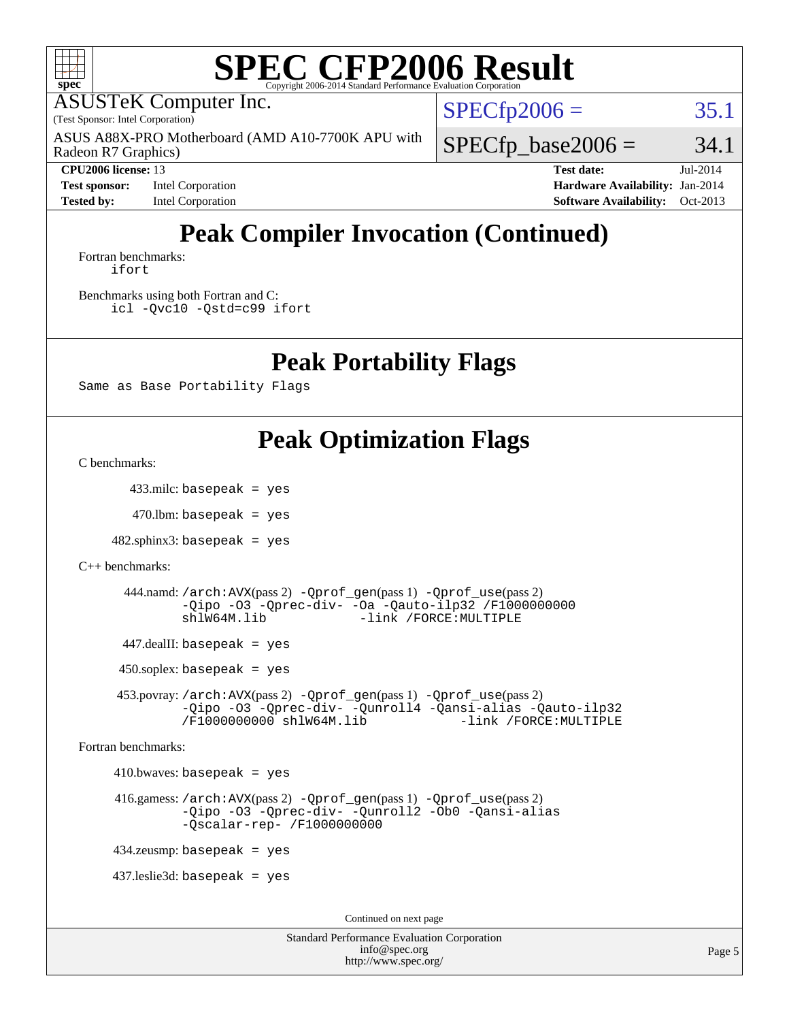

# **[SPEC CFP2006 Result](http://www.spec.org/auto/cpu2006/Docs/result-fields.html#SPECCFP2006Result)**

ASUSTeK Computer Inc.

(Test Sponsor: Intel Corporation)

Radeon R7 Graphics) ASUS A88X-PRO Motherboard (AMD A10-7700K APU with  $SPECTp2006 = 35.1$ 

 $SPECTp\_base2006 = 34.1$ 

**[Test sponsor:](http://www.spec.org/auto/cpu2006/Docs/result-fields.html#Testsponsor)** Intel Corporation **[Hardware Availability:](http://www.spec.org/auto/cpu2006/Docs/result-fields.html#HardwareAvailability)** Jan-2014

**[CPU2006 license:](http://www.spec.org/auto/cpu2006/Docs/result-fields.html#CPU2006license)** 13 **[Test date:](http://www.spec.org/auto/cpu2006/Docs/result-fields.html#Testdate)** Jul-2014 **[Tested by:](http://www.spec.org/auto/cpu2006/Docs/result-fields.html#Testedby)** Intel Corporation **[Software Availability:](http://www.spec.org/auto/cpu2006/Docs/result-fields.html#SoftwareAvailability)** Oct-2013

# **[Peak Compiler Invocation \(Continued\)](http://www.spec.org/auto/cpu2006/Docs/result-fields.html#PeakCompilerInvocation)**

[Fortran benchmarks](http://www.spec.org/auto/cpu2006/Docs/result-fields.html#Fortranbenchmarks): [ifort](http://www.spec.org/cpu2006/results/res2014q3/cpu2006-20140715-30425.flags.html#user_FCpeak_intel_ifort_8a5e5e06b19a251bdeaf8fdab5d62f20)

[Benchmarks using both Fortran and C](http://www.spec.org/auto/cpu2006/Docs/result-fields.html#BenchmarksusingbothFortranandC): [icl -Qvc10](http://www.spec.org/cpu2006/results/res2014q3/cpu2006-20140715-30425.flags.html#user_CC_FCpeak_intel_icc_vc10_9607f3ecbcdf68042245f068e51b40c1) [-Qstd=c99](http://www.spec.org/cpu2006/results/res2014q3/cpu2006-20140715-30425.flags.html#user_CC_FCpeak_intel_compiler_c99_mode_1a3d110e3041b3ad4466830521bdad2a) [ifort](http://www.spec.org/cpu2006/results/res2014q3/cpu2006-20140715-30425.flags.html#user_CC_FCpeak_intel_ifort_8a5e5e06b19a251bdeaf8fdab5d62f20)

**[Peak Portability Flags](http://www.spec.org/auto/cpu2006/Docs/result-fields.html#PeakPortabilityFlags)**

Same as Base Portability Flags

## **[Peak Optimization Flags](http://www.spec.org/auto/cpu2006/Docs/result-fields.html#PeakOptimizationFlags)**

[C benchmarks](http://www.spec.org/auto/cpu2006/Docs/result-fields.html#Cbenchmarks):

433.milc: basepeak = yes

 $470$ .lbm: basepeak = yes

 $482$ .sphinx $3$ : basepeak = yes

```
C++ benchmarks:
```
 444.namd: [/arch:AVX](http://www.spec.org/cpu2006/results/res2014q3/cpu2006-20140715-30425.flags.html#user_peakPASS2_CXXFLAGSPASS2_LDFLAGS444_namd_f-archAVX_e8ab52e15dc7c67e0682fc680b79ed94)(pass 2) [-Qprof\\_gen](http://www.spec.org/cpu2006/results/res2014q3/cpu2006-20140715-30425.flags.html#user_peakPASS1_CXXFLAGSPASS1_LDFLAGS444_namd_Qprof_gen)(pass 1) [-Qprof\\_use](http://www.spec.org/cpu2006/results/res2014q3/cpu2006-20140715-30425.flags.html#user_peakPASS2_CXXFLAGSPASS2_LDFLAGS444_namd_Qprof_use)(pass 2) [-Qipo](http://www.spec.org/cpu2006/results/res2014q3/cpu2006-20140715-30425.flags.html#user_peakOPTIMIZE444_namd_f-Qipo) [-O3](http://www.spec.org/cpu2006/results/res2014q3/cpu2006-20140715-30425.flags.html#user_peakOPTIMIZE444_namd_f-O3) [-Qprec-div-](http://www.spec.org/cpu2006/results/res2014q3/cpu2006-20140715-30425.flags.html#user_peakOPTIMIZE444_namd_f-Qprec-div-) [-Oa](http://www.spec.org/cpu2006/results/res2014q3/cpu2006-20140715-30425.flags.html#user_peakOPTIMIZE444_namd_f-Oa) [-Qauto-ilp32](http://www.spec.org/cpu2006/results/res2014q3/cpu2006-20140715-30425.flags.html#user_peakCXXOPTIMIZE444_namd_f-Qauto-ilp32) [/F1000000000](http://www.spec.org/cpu2006/results/res2014q3/cpu2006-20140715-30425.flags.html#user_peakEXTRA_LDFLAGS444_namd_set_stack_space_25d7749c1988d91b7f93afbc0ec53727) [shlW64M.lib](http://www.spec.org/cpu2006/results/res2014q3/cpu2006-20140715-30425.flags.html#user_peakEXTRA_LIBS444_namd_SmartHeap64_c4f7f76711bdf8c0633a5c1edf6e5396) [-link /FORCE:MULTIPLE](http://www.spec.org/cpu2006/results/res2014q3/cpu2006-20140715-30425.flags.html#user_peakLDOUT444_namd_link_force_multiple2_070fe330869edf77077b841074b8b0b6)

447.dealII: basepeak = yes

 $450$ .soplex: basepeak = yes

 453.povray: [/arch:AVX](http://www.spec.org/cpu2006/results/res2014q3/cpu2006-20140715-30425.flags.html#user_peakPASS2_CXXFLAGSPASS2_LDFLAGS453_povray_f-archAVX_e8ab52e15dc7c67e0682fc680b79ed94)(pass 2) [-Qprof\\_gen](http://www.spec.org/cpu2006/results/res2014q3/cpu2006-20140715-30425.flags.html#user_peakPASS1_CXXFLAGSPASS1_LDFLAGS453_povray_Qprof_gen)(pass 1) [-Qprof\\_use](http://www.spec.org/cpu2006/results/res2014q3/cpu2006-20140715-30425.flags.html#user_peakPASS2_CXXFLAGSPASS2_LDFLAGS453_povray_Qprof_use)(pass 2) [-Qipo](http://www.spec.org/cpu2006/results/res2014q3/cpu2006-20140715-30425.flags.html#user_peakOPTIMIZE453_povray_f-Qipo) [-O3](http://www.spec.org/cpu2006/results/res2014q3/cpu2006-20140715-30425.flags.html#user_peakOPTIMIZE453_povray_f-O3) [-Qprec-div-](http://www.spec.org/cpu2006/results/res2014q3/cpu2006-20140715-30425.flags.html#user_peakOPTIMIZE453_povray_f-Qprec-div-) [-Qunroll4](http://www.spec.org/cpu2006/results/res2014q3/cpu2006-20140715-30425.flags.html#user_peakOPTIMIZE453_povray_f-Qunroll_013b1c0ea3aa84ef2c65e488bcc3d968) [-Qansi-alias](http://www.spec.org/cpu2006/results/res2014q3/cpu2006-20140715-30425.flags.html#user_peakOPTIMIZE453_povray_f-Qansi-alias) [-Qauto-ilp32](http://www.spec.org/cpu2006/results/res2014q3/cpu2006-20140715-30425.flags.html#user_peakCXXOPTIMIZE453_povray_f-Qauto-ilp32) [/F1000000000](http://www.spec.org/cpu2006/results/res2014q3/cpu2006-20140715-30425.flags.html#user_peakEXTRA_LDFLAGS453_povray_set_stack_space_25d7749c1988d91b7f93afbc0ec53727) [shlW64M.lib](http://www.spec.org/cpu2006/results/res2014q3/cpu2006-20140715-30425.flags.html#user_peakEXTRA_LIBS453_povray_SmartHeap64_c4f7f76711bdf8c0633a5c1edf6e5396)

[Fortran benchmarks](http://www.spec.org/auto/cpu2006/Docs/result-fields.html#Fortranbenchmarks):

 $410.bwaves: basepeak = yes$ 

 416.gamess: [/arch:AVX](http://www.spec.org/cpu2006/results/res2014q3/cpu2006-20140715-30425.flags.html#user_peakPASS2_FFLAGSPASS2_LDFLAGS416_gamess_f-archAVX_e8ab52e15dc7c67e0682fc680b79ed94)(pass 2) [-Qprof\\_gen](http://www.spec.org/cpu2006/results/res2014q3/cpu2006-20140715-30425.flags.html#user_peakPASS1_FFLAGSPASS1_LDFLAGS416_gamess_Qprof_gen)(pass 1) [-Qprof\\_use](http://www.spec.org/cpu2006/results/res2014q3/cpu2006-20140715-30425.flags.html#user_peakPASS2_FFLAGSPASS2_LDFLAGS416_gamess_Qprof_use)(pass 2) [-Qipo](http://www.spec.org/cpu2006/results/res2014q3/cpu2006-20140715-30425.flags.html#user_peakOPTIMIZE416_gamess_f-Qipo) [-O3](http://www.spec.org/cpu2006/results/res2014q3/cpu2006-20140715-30425.flags.html#user_peakOPTIMIZE416_gamess_f-O3) [-Qprec-div-](http://www.spec.org/cpu2006/results/res2014q3/cpu2006-20140715-30425.flags.html#user_peakOPTIMIZE416_gamess_f-Qprec-div-) [-Qunroll2](http://www.spec.org/cpu2006/results/res2014q3/cpu2006-20140715-30425.flags.html#user_peakOPTIMIZE416_gamess_f-Qunroll_1d9456aa650e77fc2a0cf43cef3fa08c) [-Ob0](http://www.spec.org/cpu2006/results/res2014q3/cpu2006-20140715-30425.flags.html#user_peakOPTIMIZE416_gamess_f-Ob_n_fbe6f6428adb7d4b74b1e99bb2444c2d) [-Qansi-alias](http://www.spec.org/cpu2006/results/res2014q3/cpu2006-20140715-30425.flags.html#user_peakOPTIMIZE416_gamess_f-Qansi-alias) [-Qscalar-rep-](http://www.spec.org/cpu2006/results/res2014q3/cpu2006-20140715-30425.flags.html#user_peakOPTIMIZE416_gamess_f-Qscalar-rep_02cb9e11a5340d80ab3062d84e5dfb2e) [/F1000000000](http://www.spec.org/cpu2006/results/res2014q3/cpu2006-20140715-30425.flags.html#user_peakEXTRA_LDFLAGS416_gamess_set_stack_space_25d7749c1988d91b7f93afbc0ec53727)

434.zeusmp: basepeak = yes

437.leslie3d: basepeak = yes

Continued on next page